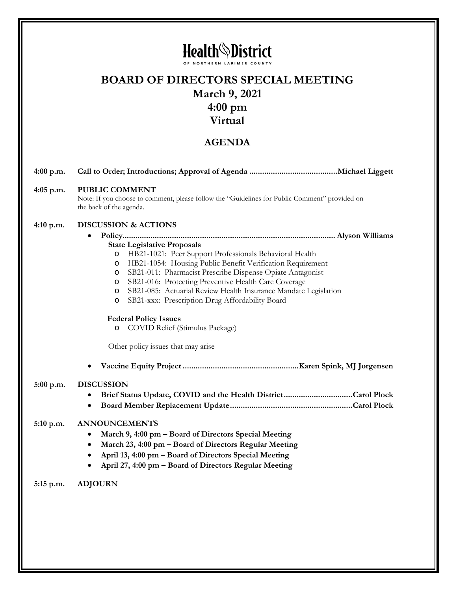